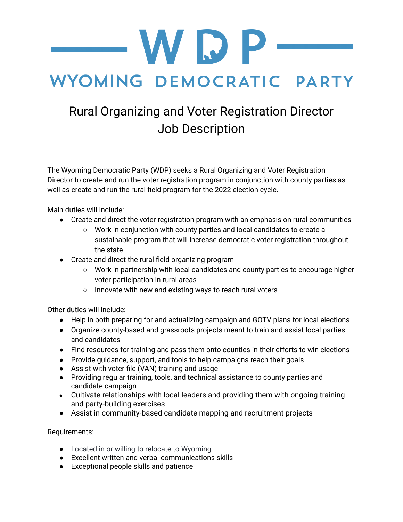WDP

## WYOMING DEMOCRATIC PARTY

## Rural Organizing and Voter Registration Director Job Description

The Wyoming Democratic Party (WDP) seeks a Rural Organizing and Voter Registration Director to create and run the voter registration program in conjunction with county parties as well as create and run the rural field program for the 2022 election cycle.

Main duties will include:

- Create and direct the voter registration program with an emphasis on rural communities
	- Work in conjunction with county parties and local candidates to create a sustainable program that will increase democratic voter registration throughout the state
- Create and direct the rural field organizing program
	- Work in partnership with local candidates and county parties to encourage higher voter participation in rural areas
	- Innovate with new and existing ways to reach rural voters

Other duties will include:

- Help in both preparing for and actualizing campaign and GOTV plans for local elections
- Organize county-based and grassroots projects meant to train and assist local parties and candidates
- Find resources for training and pass them onto counties in their efforts to win elections
- Provide guidance, support, and tools to help campaigns reach their goals
- Assist with voter file (VAN) training and usage
- Providing regular training, tools, and technical assistance to county parties and candidate campaign
- Cultivate relationships with local leaders and providing them with ongoing training and party-building exercises
- Assist in community-based candidate mapping and recruitment projects

Requirements:

- Located in or willing to relocate to Wyoming
- Excellent written and verbal communications skills
- Exceptional people skills and patience